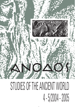# STUDIES OF THE ANCIENT WORLD 4 - 5/2004 - 2005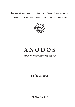Trnavská univerzita v Trnave Filozofická fakulta Universitas Tyrnaviensis Facultas Philosophica



# **A N O D O S**

## *Studies of the Ancient World*

# **4-5/2004-2005**

**T R N A V A 2006**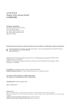#### **ANODOS Studies of the Ancient World** 4-5/2004-2005

#### Redakčná rada/Editors:

Prof. PhDr. Mária Novotná, DrSc. Prof. Dr. Werner Jobst doc. PhDr. Marie Dufková, CSc. doc. PhDr. Klára Kuzmová, CSc. Mgr. Pavol Hnila

#### Kontaktná adresa (príspevky, ďalšie informácie)/Contact address (contributions, further information):

Katedra klasickej archeológie, Trnavská univerzita v Trnave, Hornopotočná 23, SK-918 43 Trnava<br>+421-33-5939371; fax: +421-33-5939370 ⊠

合口

klasarch@truni.sk

Publikované s finančnou podporou mesta Trnava a Vedeckej grantovej agentúry MŠ SR a SAV (Projekt VEGA č. 1/1219/04). Published with financial support of the town of Trnava and of the Slovak Grant Agency VEGA (Project No. 1/1219/04).

Copyright: Trnavská univerzita v Trnave, Filozofická fakulta Redakcia/Editorial Staff: doc. PhDr. Klára Kuzmová, CSc., Zuzana Turzová

Za znenie a obsah príspevkov zodpovedajú autori. The authors are responsible for their contributions.

Tlač/Printed by: Michel Angelo Nitra

ISBN 80-8082-109-7

Obálka/Cover:

Motív "Zázračného dažďa" zo stĺpa Marka Aurélia v Ríme. V okienku: Reliéf z chrámu Atény, Pergamon. Motif of the "Miracle rain" from the column of Marcus Aurelius in Rome. In the window: Relief from the Athena-Temple, Pergamon

Grafické spracovanie/Graphic elaboration: Mgr. Pavol Šima-Juríček Počítačové spracovanie/Computer elaboration: PhDr. Ivan Kuzma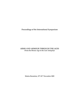Proceedings of the International Symposium

#### ARMS AND ARMOUR THROUGH THE AGES (From the Bronze Age to the Late Antiquity)

Modra-Harmónia, 19th-22nd November 2005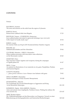### **CONTENS**

Preface

| BALDIRAN, Asuman:<br>The arms and armours on the relief from the region of Lykaonia                                                                                   | $9-16$    |
|-----------------------------------------------------------------------------------------------------------------------------------------------------------------------|-----------|
| BARTUS, Dávid:<br>Roman bone scabbard slide from Brigetio                                                                                                             | 17-23     |
| BOCHNAK, Tomasz - CZARNECKA, Katarzyna:<br>Iron scabbard-plates decorated in openwork technique (opus interrasile)<br>Celtic import or locally made copy?             | 25-34     |
| BORHY, László:<br>Ein eiserner Helm aus Brigetio (FO: Komárom/Szőny-Vásártér, Ungarn)                                                                                 | 35-38     |
| BOUZEK, Jan:<br>Waffenbruderschaften und ihre Abzeichen                                                                                                               | 39-44     |
| CULTRARO, Massimo - GRECO, Alessandro:<br>When tradition proceeds with innovation: some reflections<br>on the Mycenaean warfare                                       | $45 - 60$ |
| DUBOVSKÝ, Peter:<br>Neo-Assyrian warfare: logistics and weaponry during the campaigns<br>of Tiglath-pileser III                                                       | 61-67     |
| EROL, F. Ayşe:<br>An analysis on illustrations of war materials on city gates: Pamphilian, Pisidian<br>and Isaurian Regions                                           | 69-77     |
| GAGETTI, Elisabetta:<br>« galeae gemmis radientur et auro» Roman visor helmets with gems                                                                              | 79-92     |
| HNILA GILIBERT, Alessandra:<br>Warfare techniques in Early Dynastic Mesopotamia                                                                                       | 93-100    |
| JOCKENHÖVEL, Albrecht:<br>Zur Archäologie der Gewalt: Bemerkungen zu Aggression und Krieg<br>in der Bronzezeit Alteuropas                                             | 101-132   |
| KOSMIDOU, Elpida - MALAMIDOU, Dimitria:<br>Arms and armour from Amphipolis, Northern Greece. Plotting the military life<br>of an ancient city                         | 133-147   |
| MERT, İbrahim Hakan:<br>Die Waffendarstellungen auf den Bauwerken von Pergamon. Versuch zu einer<br>Bilderdeutung mit ikonographischen und historischen Beobachtungen | 149-160   |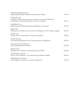| MULLER-KARPE, Hermann:<br>Religionsgeschichtliche Aspekte bronzezeitlicher Waffen                                                                       | 161-164 |
|---------------------------------------------------------------------------------------------------------------------------------------------------------|---------|
| NANKOV, Emil:<br>Preliminary observations on the use of artillery on the Early Hellenistic<br>fortifications at Halai in Opountian Lokris: new evidence | 165-174 |
| ONDŘEJOVÁ, Iva:<br>Männerschmuck als Bestandteil der militärischen Ausrüstung                                                                           | 175-184 |
| PIRAS, Rita:<br>Réflexions sur l'architecture et les armes en Sardaigne à la fin de l'âge nuragique                                                     | 185-193 |
| ŞAHIN, Işık:<br>The decoration on the shields in Greek vase painting                                                                                    | 195-205 |
| ŞAHIN, Mustafa:<br>Die Waffendarstellungen auf den Felsmonumenten aus Iğdeören                                                                          | 207-213 |
| SCHULZ, Christian Eberhard:<br>Zum Aufkommen des Schwertes                                                                                              | 215-229 |
| SIMON, Erika:<br>Die Waffen von Arkades: Ausrüstung für die Pyrrhiche                                                                                   | 231-242 |
| UCKELMANN, Marion:<br>Schutz, Prunk und Kult - Zur Funktion bronzezeitlicher Schilde                                                                    | 243-249 |
| ZIMMERMANN, Thomas:<br>Early daggers in Anatolia – a necessary reappraisal                                                                              | 251-262 |